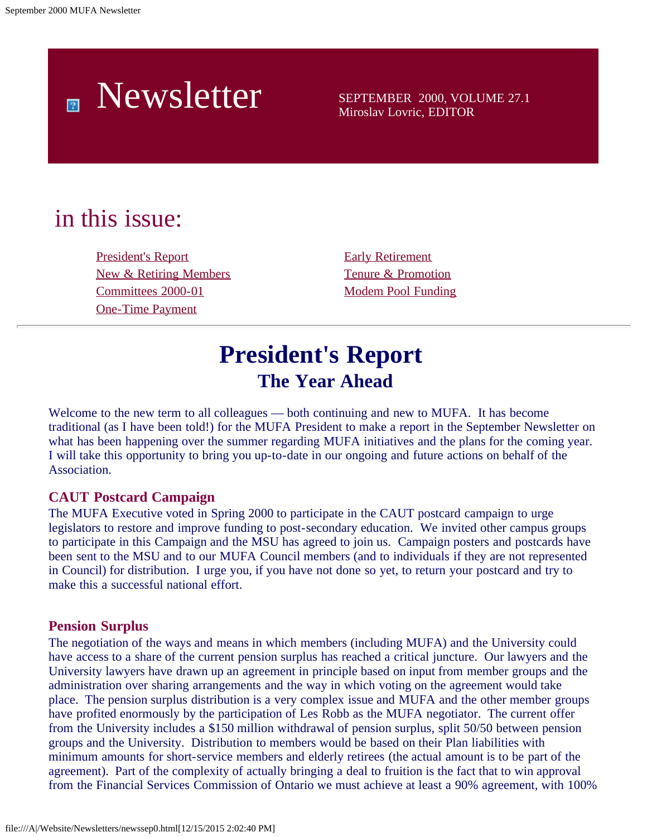# Newsletter SEPTEMBER 2000, VOLUME 27.1

Miroslav Lovric, EDITOR

## in this issue:

[President's Report](#page-0-0) [Early Retirement](#page-7-0) [New & Retiring Members](#page-2-0) [Tenure & Promotion](#page-7-1) [Committees 2000-01](#page-5-0) [Modem Pool Funding](#page-8-0) [One-Time Payment](#page-6-0)

## **President's Report The Year Ahead**

<span id="page-0-0"></span>Welcome to the new term to all colleagues — both continuing and new to MUFA. It has become traditional (as I have been told!) for the MUFA President to make a report in the September Newsletter on what has been happening over the summer regarding MUFA initiatives and the plans for the coming year. I will take this opportunity to bring you up-to-date in our ongoing and future actions on behalf of the Association.

### **CAUT Postcard Campaign**

The MUFA Executive voted in Spring 2000 to participate in the CAUT postcard campaign to urge legislators to restore and improve funding to post-secondary education. We invited other campus groups to participate in this Campaign and the MSU has agreed to join us. Campaign posters and postcards have been sent to the MSU and to our MUFA Council members (and to individuals if they are not represented in Council) for distribution. I urge you, if you have not done so yet, to return your postcard and try to make this a successful national effort.

#### **Pension Surplus**

The negotiation of the ways and means in which members (including MUFA) and the University could have access to a share of the current pension surplus has reached a critical juncture. Our lawyers and the University lawyers have drawn up an agreement in principle based on input from member groups and the administration over sharing arrangements and the way in which voting on the agreement would take place. The pension surplus distribution is a very complex issue and MUFA and the other member groups have profited enormously by the participation of Les Robb as the MUFA negotiator. The current offer from the University includes a \$150 million withdrawal of pension surplus, split 50/50 between pension groups and the University. Distribution to members would be based on their Plan liabilities with minimum amounts for short-service members and elderly retirees (the actual amount is to be part of the agreement). Part of the complexity of actually bringing a deal to fruition is the fact that to win approval from the Financial Services Commission of Ontario we must achieve at least a 90% agreement, with 100%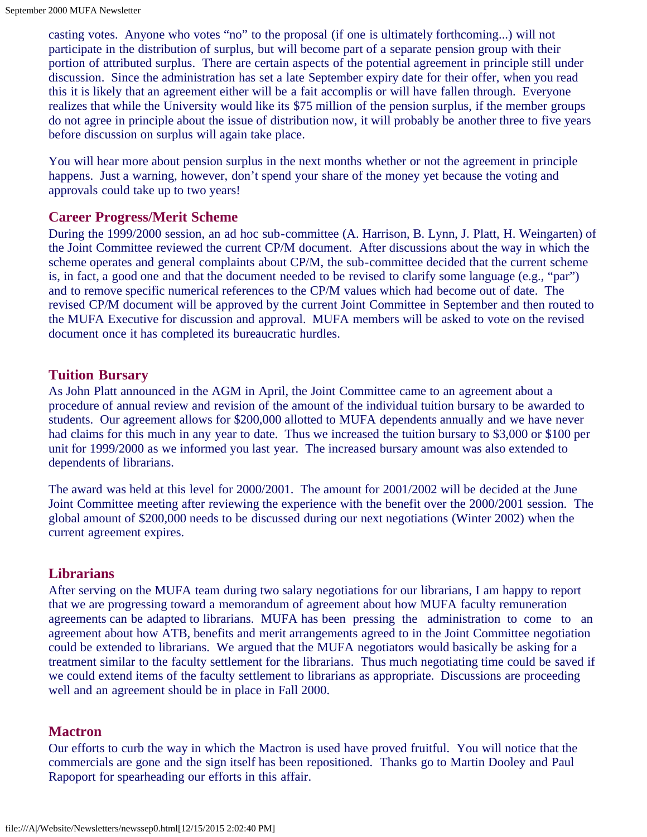casting votes. Anyone who votes "no" to the proposal (if one is ultimately forthcoming...) will not participate in the distribution of surplus, but will become part of a separate pension group with their portion of attributed surplus. There are certain aspects of the potential agreement in principle still under discussion. Since the administration has set a late September expiry date for their offer, when you read this it is likely that an agreement either will be a fait accomplis or will have fallen through. Everyone realizes that while the University would like its \$75 million of the pension surplus, if the member groups do not agree in principle about the issue of distribution now, it will probably be another three to five years before discussion on surplus will again take place.

You will hear more about pension surplus in the next months whether or not the agreement in principle happens. Just a warning, however, don't spend your share of the money yet because the voting and approvals could take up to two years!

#### **Career Progress/Merit Scheme**

During the 1999/2000 session, an ad hoc sub-committee (A. Harrison, B. Lynn, J. Platt, H. Weingarten) of the Joint Committee reviewed the current CP/M document. After discussions about the way in which the scheme operates and general complaints about CP/M, the sub-committee decided that the current scheme is, in fact, a good one and that the document needed to be revised to clarify some language (e.g., "par") and to remove specific numerical references to the CP/M values which had become out of date. The revised CP/M document will be approved by the current Joint Committee in September and then routed to the MUFA Executive for discussion and approval. MUFA members will be asked to vote on the revised document once it has completed its bureaucratic hurdles.

#### **Tuition Bursary**

As John Platt announced in the AGM in April, the Joint Committee came to an agreement about a procedure of annual review and revision of the amount of the individual tuition bursary to be awarded to students. Our agreement allows for \$200,000 allotted to MUFA dependents annually and we have never had claims for this much in any year to date. Thus we increased the tuition bursary to \$3,000 or \$100 per unit for 1999/2000 as we informed you last year. The increased bursary amount was also extended to dependents of librarians.

The award was held at this level for 2000/2001. The amount for 2001/2002 will be decided at the June Joint Committee meeting after reviewing the experience with the benefit over the 2000/2001 session. The global amount of \$200,000 needs to be discussed during our next negotiations (Winter 2002) when the current agreement expires.

### **Librarians**

After serving on the MUFA team during two salary negotiations for our librarians, I am happy to report that we are progressing toward a memorandum of agreement about how MUFA faculty remuneration agreements can be adapted to librarians. MUFA has been pressing the administration to come to an agreement about how ATB, benefits and merit arrangements agreed to in the Joint Committee negotiation could be extended to librarians. We argued that the MUFA negotiators would basically be asking for a treatment similar to the faculty settlement for the librarians. Thus much negotiating time could be saved if we could extend items of the faculty settlement to librarians as appropriate. Discussions are proceeding well and an agreement should be in place in Fall 2000.

### **Mactron**

Our efforts to curb the way in which the Mactron is used have proved fruitful. You will notice that the commercials are gone and the sign itself has been repositioned. Thanks go to Martin Dooley and Paul Rapoport for spearheading our efforts in this affair.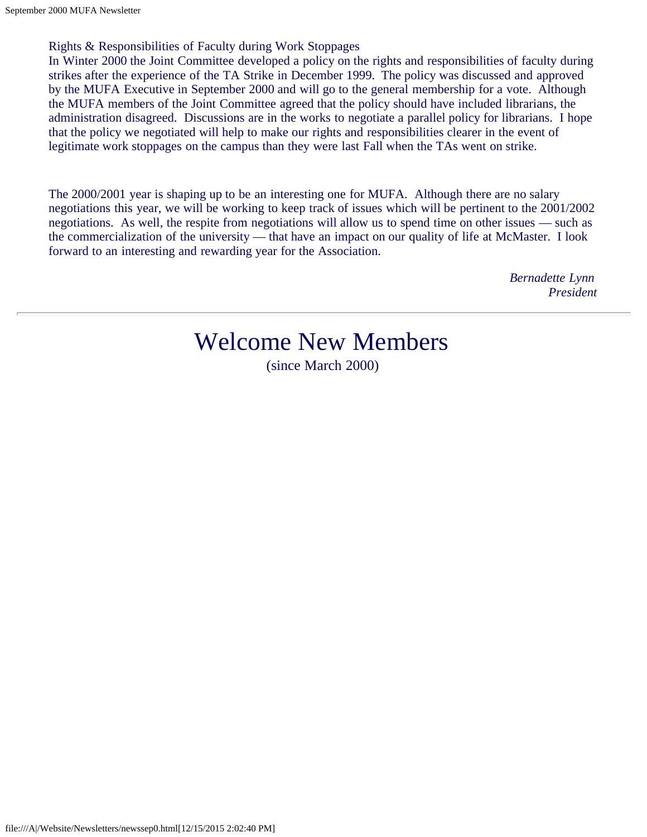Rights & Responsibilities of Faculty during Work Stoppages

In Winter 2000 the Joint Committee developed a policy on the rights and responsibilities of faculty during strikes after the experience of the TA Strike in December 1999. The policy was discussed and approved by the MUFA Executive in September 2000 and will go to the general membership for a vote. Although the MUFA members of the Joint Committee agreed that the policy should have included librarians, the administration disagreed. Discussions are in the works to negotiate a parallel policy for librarians. I hope that the policy we negotiated will help to make our rights and responsibilities clearer in the event of legitimate work stoppages on the campus than they were last Fall when the TAs went on strike.

<span id="page-2-0"></span>The 2000/2001 year is shaping up to be an interesting one for MUFA. Although there are no salary negotiations this year, we will be working to keep track of issues which will be pertinent to the 2001/2002 negotiations. As well, the respite from negotiations will allow us to spend time on other issues — such as the commercialization of the university — that have an impact on our quality of life at McMaster. I look forward to an interesting and rewarding year for the Association.

> *Bernadette Lynn President*

# Welcome New Members

(since March 2000)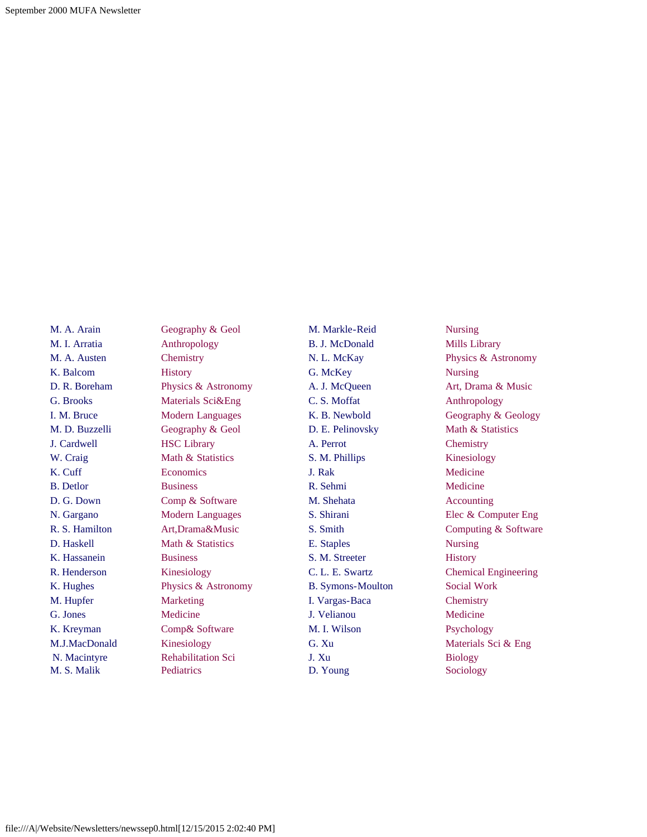M. A. Arain M. I. Arratia M. A. Austen K. Balcom D. R. Boreham G. Brooks I. M. Bruce M. D. Buzzelli J. Cardwell W. Craig K. Cuff B. Detlor D. G. Down N. Gargano R. S. Hamilton D. Haskell K. Hassanein R. Henderson K. Hughes M. Hupfer G. Jones K. Kreyman M.J.MacDonald N. Macintyre M. S. Malik

Geography & Geol Anthropology **Chemistry History** Physics & Astronomy Materials Sci&Eng Modern Languages Geography & Geol HSC Library Math & Statistics **Economics Business** Comp & Software Modern Languages Art,Drama&Music Math & Statistics Business Kinesiology Physics & Astronomy Marketing Medicine Comp& Software Kinesiology Rehabilitation Sci Pediatrics

M. Markle-Reid B. J. McDonald N. L. McKay G. McKey A. J. McQueen C. S. Moffat K. B. Newbold D. E. Pelinovsky A. Perrot S. M. Phillips J. Rak R. Sehmi M. Shehata S. Shirani S. Smith E. Staples S. M. Streeter C. L. E. Swartz B. Symons-Moulton I. Vargas-Baca J. Velianou M. I. Wilson G. Xu J. Xu D. Young

Nursing Mills Library Physics & Astronomy Nursing Art, Drama & Music Anthropology Geography & Geology Math & Statistics **Chemistry** Kinesiology Medicine Medicine Accounting Elec & Computer Eng Computing & Software Nursing **History** Chemical Engineering Social Work **Chemistry** Medicine Psychology Materials Sci & Eng Biology Sociology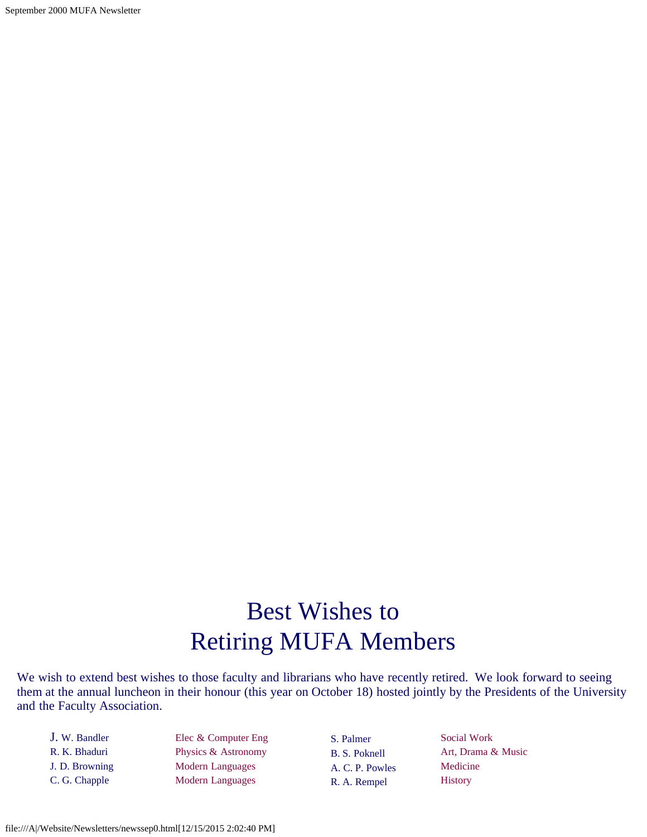September 2000 MUFA Newsletter

# Best Wishes to Retiring MUFA Members

We wish to extend best wishes to those faculty and librarians who have recently retired. We look forward to seeing them at the annual luncheon in their honour (this year on October 18) hosted jointly by the Presidents of the University and the Faculty Association.

J. W. Bandler R. K. Bhaduri J. D. Browning C. G. Chapple

Elec & Computer Eng Physics & Astronomy Modern Languages Modern Languages

S. Palmer B. S. Poknell A. C. P. Powles R. A. Rempel

Social Work Art, Drama & Music Medicine **History**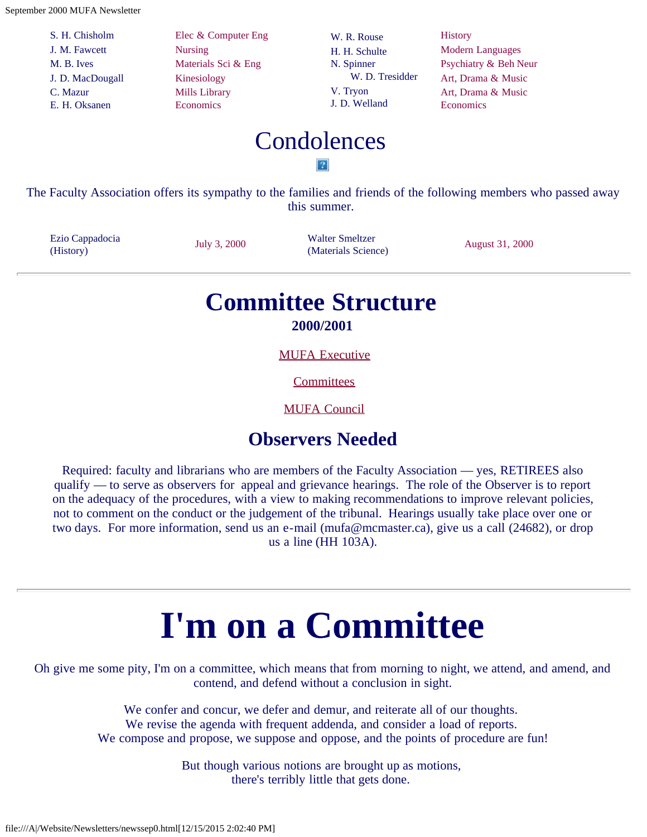September 2000 MUFA Newsletter

S. H. Chisholm J. M. Fawcett M. B. Ives J. D. MacDougall C. Mazur E. H. Oksanen

Elec & Computer Eng Nursing Materials Sci & Eng Kinesiology Mills Library Economics

W. R. Rouse H. H. Schulte N. Spinner W. D. Tresidder V. Tryon J. D. Welland

**History** Modern Languages Psychiatry & Beh Neur Art, Drama & Music Art, Drama & Music **Economics** 

### Condolences  $|2|$

The Faculty Association offers its sympathy to the families and friends of the following members who passed away this summer.

<span id="page-5-0"></span>Ezio Cappadocia (History) July 3, 2000 Walter Smeltzer

Walter Smeltzer<br>
(Materials Science) August 31, 2000

### **Committee Structure 2000/2001**

[MUFA Executive](file:///A|/Website/Newsletters/newexec.htm)

**[Committees](file:///A|/Website/Newsletters/committe.htm)** 

[MUFA Council](file:///A|/Website/Newsletters/council.htm)

### **Observers Needed**

Required: faculty and librarians who are members of the Faculty Association — yes, RETIREES also qualify — to serve as observers for appeal and grievance hearings. The role of the Observer is to report on the adequacy of the procedures, with a view to making recommendations to improve relevant policies, not to comment on the conduct or the judgement of the tribunal. Hearings usually take place over one or two days. For more information, send us an e-mail (mufa@mcmaster.ca), give us a call (24682), or drop us a line (HH 103A).

# **I'm on a Committee**

Oh give me some pity, I'm on a committee, which means that from morning to night, we attend, and amend, and contend, and defend without a conclusion in sight.

> We confer and concur, we defer and demur, and reiterate all of our thoughts. We revise the agenda with frequent addenda, and consider a load of reports. We compose and propose, we suppose and oppose, and the points of procedure are fun!

> > But though various notions are brought up as motions, there's terribly little that gets done.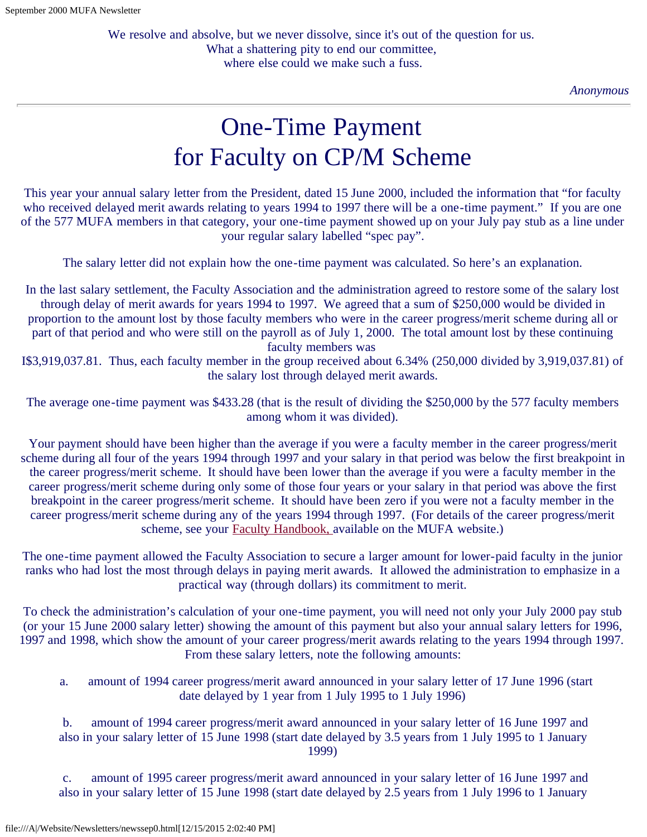*Anonymous*

# One-Time Payment for Faculty on CP/M Scheme

<span id="page-6-0"></span>This year your annual salary letter from the President, dated 15 June 2000, included the information that "for faculty who received delayed merit awards relating to years 1994 to 1997 there will be a one-time payment." If you are one of the 577 MUFA members in that category, your one-time payment showed up on your July pay stub as a line under your regular salary labelled "spec pay".

The salary letter did not explain how the one-time payment was calculated. So here's an explanation.

In the last salary settlement, the Faculty Association and the administration agreed to restore some of the salary lost through delay of merit awards for years 1994 to 1997. We agreed that a sum of \$250,000 would be divided in proportion to the amount lost by those faculty members who were in the career progress/merit scheme during all or part of that period and who were still on the payroll as of July 1, 2000. The total amount lost by these continuing faculty members was

I\$3,919,037.81. Thus, each faculty member in the group received about 6.34% (250,000 divided by 3,919,037.81) of the salary lost through delayed merit awards.

The average one-time payment was \$433.28 (that is the result of dividing the \$250,000 by the 577 faculty members among whom it was divided).

Your payment should have been higher than the average if you were a faculty member in the career progress/merit scheme during all four of the years 1994 through 1997 and your salary in that period was below the first breakpoint in the career progress/merit scheme. It should have been lower than the average if you were a faculty member in the career progress/merit scheme during only some of those four years or your salary in that period was above the first breakpoint in the career progress/merit scheme. It should have been zero if you were not a faculty member in the career progress/merit scheme during any of the years 1994 through 1997. (For details of the career progress/merit scheme, see your [Faculty Handbook,](file:///A|/Website/Newsletters/handbook/cover.htm) available on the MUFA website.)

The one-time payment allowed the Faculty Association to secure a larger amount for lower-paid faculty in the junior ranks who had lost the most through delays in paying merit awards. It allowed the administration to emphasize in a practical way (through dollars) its commitment to merit.

To check the administration's calculation of your one-time payment, you will need not only your July 2000 pay stub (or your 15 June 2000 salary letter) showing the amount of this payment but also your annual salary letters for 1996, 1997 and 1998, which show the amount of your career progress/merit awards relating to the years 1994 through 1997. From these salary letters, note the following amounts:

 a. amount of 1994 career progress/merit award announced in your salary letter of 17 June 1996 (start date delayed by 1 year from 1 July 1995 to 1 July 1996)

 b. amount of 1994 career progress/merit award announced in your salary letter of 16 June 1997 and also in your salary letter of 15 June 1998 (start date delayed by 3.5 years from 1 July 1995 to 1 January 1999)

 c. amount of 1995 career progress/merit award announced in your salary letter of 16 June 1997 and also in your salary letter of 15 June 1998 (start date delayed by 2.5 years from 1 July 1996 to 1 January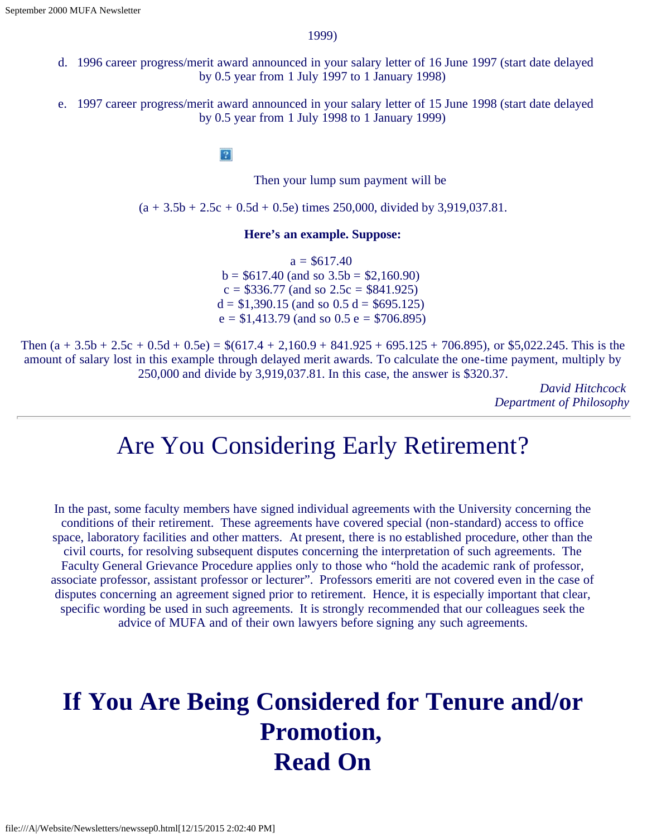1999)

- d. 1996 career progress/merit award announced in your salary letter of 16 June 1997 (start date delayed by 0.5 year from 1 July 1997 to 1 January 1998)
- e. 1997 career progress/merit award announced in your salary letter of 15 June 1998 (start date delayed by 0.5 year from 1 July 1998 to 1 January 1999)

 $|2\rangle$ 

Then your lump sum payment will be

 $(a + 3.5b + 2.5c + 0.5d + 0.5e)$  times 250,000, divided by 3,919,037.81.

#### **Here's an example. Suppose:**

 $a = $617.40$  $b = $617.40$  (and so  $3.5b = $2,160.90$ )  $c = $336.77$  (and so  $2.5c = $841.925$ )  $d = $1,390.15$  (and so 0.5 d = \$695.125)  $e = $1,413.79$  (and so 0.5  $e = $706.895$ )

Then  $(a + 3.5b + 2.5c + 0.5d + 0.5e) = $(617.4 + 2,160.9 + 841.925 + 695.125 + 706.895)$ , or \$5,022.245. This is the amount of salary lost in this example through delayed merit awards. To calculate the one-time payment, multiply by 250,000 and divide by 3,919,037.81. In this case, the answer is \$320.37.

> *David Hitchcock Department of Philosophy*

### Are You Considering Early Retirement?

<span id="page-7-0"></span>In the past, some faculty members have signed individual agreements with the University concerning the conditions of their retirement. These agreements have covered special (non-standard) access to office space, laboratory facilities and other matters. At present, there is no established procedure, other than the civil courts, for resolving subsequent disputes concerning the interpretation of such agreements. The Faculty General Grievance Procedure applies only to those who "hold the academic rank of professor, associate professor, assistant professor or lecturer". Professors emeriti are not covered even in the case of disputes concerning an agreement signed prior to retirement. Hence, it is especially important that clear, specific wording be used in such agreements. It is strongly recommended that our colleagues seek the advice of MUFA and of their own lawyers before signing any such agreements.

## <span id="page-7-1"></span>**If You Are Being Considered for Tenure and/or Promotion, Read On**